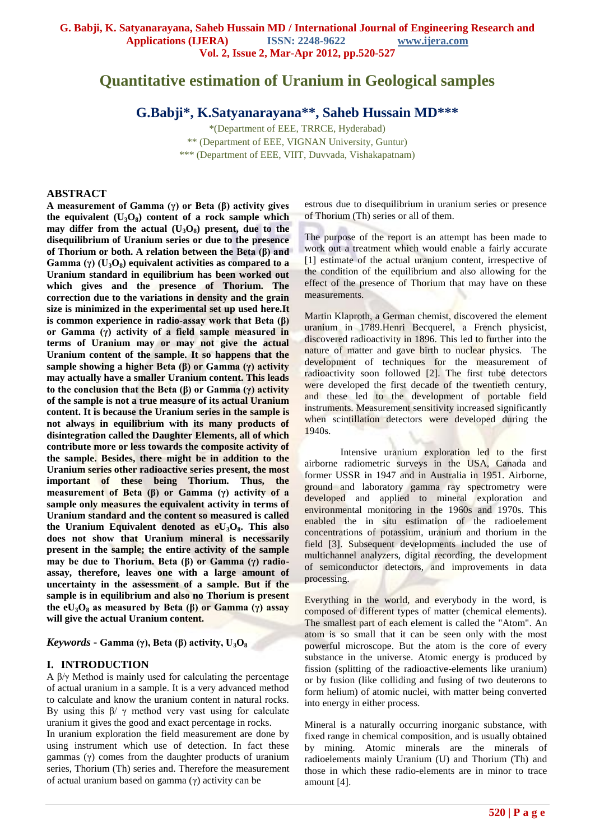# **Quantitative estimation of Uranium in Geological samples**

**G.Babji\*, K.Satyanarayana\*\*, Saheb Hussain MD\*\*\***

\*(Department of EEE, TRRCE, Hyderabad) \*\* (Department of EEE, VIGNAN University, Guntur) \*\*\* (Department of EEE, VIIT, Duvvada, Vishakapatnam)

#### **ABSTRACT**

**A measurement of Gamma (γ) or Beta (β) activity gives the equivalent (U3O8) content of a rock sample which may differ from the actual**  $(U_3O_8)$  **present, due to the disequilibrium of Uranium series or due to the presence of Thorium or both. A relation between the Beta (β) and Gamma (γ) (U3O8) equivalent activities as compared to a Uranium standard in equilibrium has been worked out which gives and the presence of Thorium. The correction due to the variations in density and the grain size is minimized in the experimental set up used here.It is common experience in radio-assay work that Beta (β) or Gamma (γ) activity of a field sample measured in terms of Uranium may or may not give the actual Uranium content of the sample. It so happens that the sample showing a higher Beta (β) or Gamma (γ) activity may actually have a smaller Uranium content. This leads to the conclusion that the Beta (β) or Gamma (γ) activity of the sample is not a true measure of its actual Uranium content. It is because the Uranium series in the sample is not always in equilibrium with its many products of disintegration called the Daughter Elements, all of which contribute more or less towards the composite activity of the sample. Besides, there might be in addition to the Uranium series other radioactive series present, the most important of these being Thorium. Thus, the measurement of Beta (β) or Gamma (γ) activity of a sample only measures the equivalent activity in terms of Uranium standard and the content so measured is called the Uranium Equivalent denoted as eU3O8. This also does not show that Uranium mineral is necessarily present in the sample; the entire activity of the sample may be due to Thorium. Beta (β) or Gamma (γ) radioassay, therefore, leaves one with a large amount of uncertainty in the assessment of a sample. But if the sample is in equilibrium and also no Thorium is present the eU3O<sup>8</sup> as measured by Beta (β) or Gamma (γ) assay will give the actual Uranium content.** 

*Keywords* **- Gamma (γ), Beta (β) activity, U3O<sup>8</sup>**

### **I. INTRODUCTION**

A β/γ Method is mainly used for calculating the percentage of actual uranium in a sample. It is a very advanced method to calculate and know the uranium content in natural rocks. By using this  $β/γ$  method very vast using for calculate uranium it gives the good and exact percentage in rocks. In uranium exploration the field measurement are done by using instrument which use of detection. In fact these gammas (γ) comes from the daughter products of uranium series, Thorium (Th) series and. Therefore the measurement of actual uranium based on gamma (γ) activity can be

estrous due to disequilibrium in uranium series or presence of Thorium (Th) series or all of them.

The purpose of the report is an attempt has been made to work out a treatment which would enable a fairly accurate [1] estimate of the actual uranium content, irrespective of the condition of the equilibrium and also allowing for the effect of the presence of Thorium that may have on these measurements.

Martin Klaproth, a German chemist, discovered the element uranium in 1789.Henri Becquerel, a French physicist, discovered radioactivity in 1896. This led to further into the nature of matter and gave birth to nuclear physics. The development of techniques for the measurement of radioactivity soon followed [2]. The first tube detectors were developed the first decade of the twentieth century, and these led to the development of portable field instruments. Measurement sensitivity increased significantly when scintillation detectors were developed during the 1940s.

Intensive uranium exploration led to the first airborne radiometric surveys in the USA, Canada and former USSR in 1947 and in Australia in 1951. Airborne, ground and laboratory gamma ray spectrometry were developed and applied to mineral exploration and environmental monitoring in the 1960s and 1970s. This enabled the in situ estimation of the radioelement concentrations of potassium, uranium and thorium in the field [3]. Subsequent developments included the use of multichannel analyzers, digital recording, the development of semiconductor detectors, and improvements in data processing.

Everything in the world, and everybody in the word, is composed of different types of matter (chemical elements). The smallest part of each element is called the "Atom". An atom is so small that it can be seen only with the most powerful microscope. But the atom is the core of every substance in the universe. Atomic energy is produced by fission (splitting of the radioactive-elements like uranium) or by fusion (like colliding and fusing of two deuterons to form helium) of atomic nuclei, with matter being converted into energy in either process.

Mineral is a naturally occurring inorganic substance, with fixed range in chemical composition, and is usually obtained by mining. Atomic minerals are the minerals of radioelements mainly Uranium (U) and Thorium (Th) and those in which these radio-elements are in minor to trace amount [4].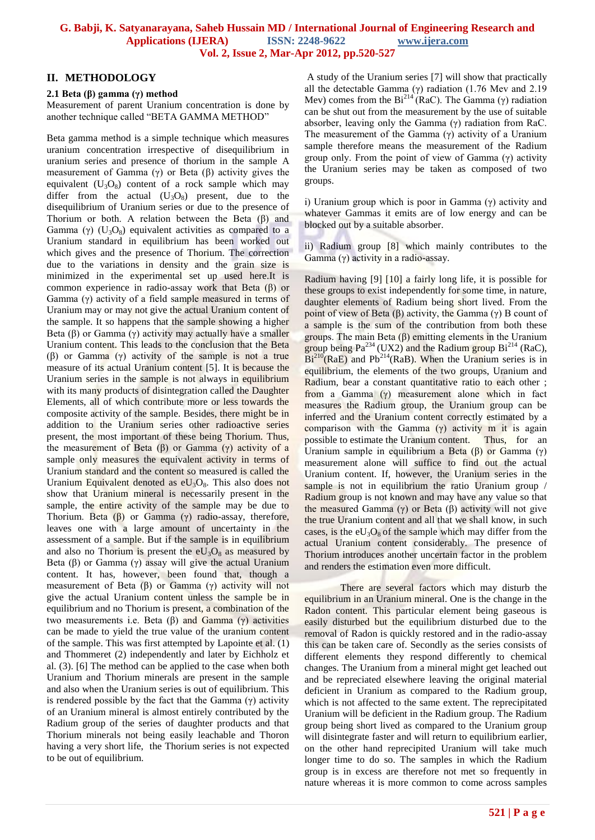#### **II. METHODOLOGY**

#### **2.1 Beta (β) gamma (γ) method**

Measurement of parent Uranium concentration is done by another technique called "BETA GAMMA METHOD"

Beta gamma method is a simple technique which measures uranium concentration irrespective of disequilibrium in uranium series and presence of thorium in the sample A measurement of Gamma (γ) or Beta (β) activity gives the equivalent  $(U_3O_8)$  content of a rock sample which may differ from the actual  $(U_3O_8)$  present, due to the disequilibrium of Uranium series or due to the presence of Thorium or both. A relation between the Beta (β) and Gamma (γ)  $(U_3O_8)$  equivalent activities as compared to a Uranium standard in equilibrium has been worked out which gives and the presence of Thorium. The correction due to the variations in density and the grain size is minimized in the experimental set up used here.It is common experience in radio-assay work that Beta (β) or Gamma (γ) activity of a field sample measured in terms of Uranium may or may not give the actual Uranium content of the sample. It so happens that the sample showing a higher Beta  $(\beta)$  or Gamma  $(\gamma)$  activity may actually have a smaller Uranium content. This leads to the conclusion that the Beta (β) or Gamma (γ) activity of the sample is not a true measure of its actual Uranium content [5]. It is because the Uranium series in the sample is not always in equilibrium with its many products of disintegration called the Daughter Elements, all of which contribute more or less towards the composite activity of the sample. Besides, there might be in addition to the Uranium series other radioactive series present, the most important of these being Thorium. Thus, the measurement of Beta (β) or Gamma (γ) activity of a sample only measures the equivalent activity in terms of Uranium standard and the content so measured is called the Uranium Equivalent denoted as  $eU_3O_8$ . This also does not show that Uranium mineral is necessarily present in the sample, the entire activity of the sample may be due to Thorium. Beta (β) or Gamma (γ) radio-assay, therefore, leaves one with a large amount of uncertainty in the assessment of a sample. But if the sample is in equilibrium and also no Thorium is present the  $eU_3O_8$  as measured by Beta (β) or Gamma (γ) assay will give the actual Uranium content. It has, however, been found that, though a measurement of Beta (β) or Gamma (γ) activity will not give the actual Uranium content unless the sample be in equilibrium and no Thorium is present, a combination of the two measurements i.e. Beta (β) and Gamma (γ) activities can be made to yield the true value of the uranium content of the sample. This was first attempted by Lapointe et al. (1) and Thommeret (2) independently and later by Eichholz et al. (3). [6] The method can be applied to the case when both Uranium and Thorium minerals are present in the sample and also when the Uranium series is out of equilibrium. This is rendered possible by the fact that the Gamma  $(\gamma)$  activity of an Uranium mineral is almost entirely contributed by the Radium group of the series of daughter products and that Thorium minerals not being easily leachable and Thoron having a very short life, the Thorium series is not expected to be out of equilibrium.

A study of the Uranium series [7] will show that practically all the detectable Gamma (γ) radiation (1.76 Mev and 2.19 Mev) comes from the  $Bi^{214}(RaC)$ . The Gamma (γ) radiation can be shut out from the measurement by the use of suitable absorber, leaving only the Gamma  $(γ)$  radiation from RaC. The measurement of the Gamma  $(\gamma)$  activity of a Uranium sample therefore means the measurement of the Radium group only. From the point of view of Gamma (γ) activity the Uranium series may be taken as composed of two groups.

i) Uranium group which is poor in Gamma (γ) activity and whatever Gammas it emits are of low energy and can be blocked out by a suitable absorber.

ii) Radium group [8] which mainly contributes to the Gamma (γ) activity in a radio-assay.

Radium having [9] [10] a fairly long life, it is possible for these groups to exist independently for some time, in nature, daughter elements of Radium being short lived. From the point of view of Beta (β) activity, the Gamma (γ) B count of a sample is the sum of the contribution from both these groups. The main Beta  $(β)$  emitting elements in the Uranium group being  $Pa^{234}$  (UX2) and the Radium group  $Bi^{214}$  (RaC),  $Bi^{210}(RaE)$  and  $Pb^{214}(RaB)$ . When the Uranium series is in equilibrium, the elements of the two groups, Uranium and Radium, bear a constant quantitative ratio to each other; from a Gamma (γ) measurement alone which in fact measures the Radium group, the Uranium group can be inferred and the Uranium content correctly estimated by a comparison with the Gamma  $(\gamma)$  activity m it is again possible to estimate the Uranium content. Thus, for an Uranium sample in equilibrium a Beta (β) or Gamma (γ) measurement alone will suffice to find out the actual Uranium content. If, however, the Uranium series in the sample is not in equilibrium the ratio Uranium group / Radium group is not known and may have any value so that the measured Gamma (γ) or Beta (β) activity will not give the true Uranium content and all that we shall know, in such cases, is the  $eU_3O_8$  of the sample which may differ from the actual Uranium content considerably. The presence of Thorium introduces another uncertain factor in the problem and renders the estimation even more difficult.

There are several factors which may disturb the equilibrium in an Uranium mineral. One is the change in the Radon content. This particular element being gaseous is easily disturbed but the equilibrium disturbed due to the removal of Radon is quickly restored and in the radio-assay this can be taken care of. Secondly as the series consists of different elements they respond differently to chemical changes. The Uranium from a mineral might get leached out and be repreciated elsewhere leaving the original material deficient in Uranium as compared to the Radium group, which is not affected to the same extent. The reprecipitated Uranium will be deficient in the Radium group. The Radium group being short lived as compared to the Uranium group will disintegrate faster and will return to equilibrium earlier, on the other hand reprecipited Uranium will take much longer time to do so. The samples in which the Radium group is in excess are therefore not met so frequently in nature whereas it is more common to come across samples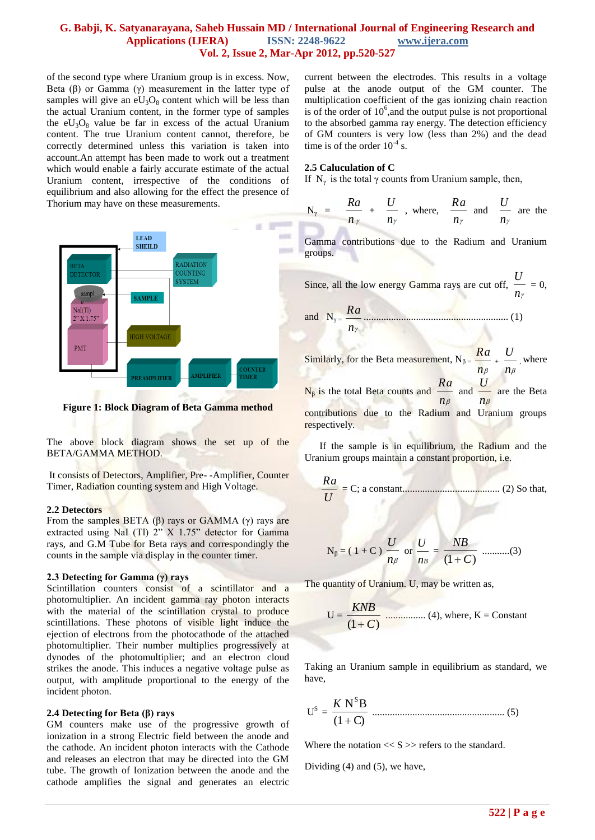of the second type where Uranium group is in excess. Now, Beta  $(\beta)$  or Gamma  $(\gamma)$  measurement in the latter type of samples will give an  $eU_3O_8$  content which will be less than the actual Uranium content, in the former type of samples the  $eU_3O_8$  value be far in excess of the actual Uranium content. The true Uranium content cannot, therefore, be correctly determined unless this variation is taken into account.An attempt has been made to work out a treatment which would enable a fairly accurate estimate of the actual Uranium content, irrespective of the conditions of equilibrium and also allowing for the effect the presence of Thorium may have on these measurements.



**Figure 1: Block Diagram of Beta Gamma method**

The above block diagram shows the set up of the BETA/GAMMA METHOD.

It consists of Detectors, Amplifier, Pre- -Amplifier, Counter Timer, Radiation counting system and High Voltage.

#### **2.2 Detectors**

From the samples BETA  $(\beta)$  rays or GAMMA  $(\gamma)$  rays are extracted using NaI (Tl) 2" X 1.75" detector for Gamma rays, and G.M Tube for Beta rays and correspondingly the counts in the sample via display in the counter timer.

#### **2.3 Detecting for Gamma (γ) rays**

Scintillation counters consist of a scintillator and a photomultiplier. An incident gamma ray photon interacts with the material of the scintillation crystal to produce scintillations. These photons of visible light induce the ejection of electrons from the photocathode of the attached photomultiplier. Their number multiplies progressively at dynodes of the photomultiplier; and an electron cloud strikes the anode. This induces a negative voltage pulse as output, with amplitude proportional to the energy of the incident photon.

#### **2.4 Detecting for Beta (β) rays**

GM counters make use of the progressive growth of ionization in a strong Electric field between the anode and the cathode. An incident photon interacts with the Cathode and releases an electron that may be directed into the GM tube. The growth of Ionization between the anode and the cathode amplifies the signal and generates an electric

current between the electrodes. This results in a voltage pulse at the anode output of the GM counter. The multiplication coefficient of the gas ionizing chain reaction is of the order of  $10^6$ , and the output pulse is not proportional to the absorbed gamma ray energy. The detection efficiency of GM counters is very low (less than 2%) and the dead time is of the order  $10^{-4}$  s.

#### **2.5 Caluculation of C**

If  $N_{\gamma}$  is the total  $\gamma$  counts from Uranium sample, then,

$$
N_{\gamma} = \frac{Ra}{n_{\gamma}} + \frac{U}{n_{\gamma}}
$$
, where,  $\frac{Ra}{n_{\gamma}}$  and  $\frac{U}{n_{\gamma}}$  are the

Gamma contributions due to the Radium and Uranium groups.

Since, all the low energy Gamma rays are cut off, *n*  $\frac{U}{\nu} = 0$ 

and 
$$
N_{\gamma} = \frac{Ra}{n_{\gamma}}
$$

Similarly, for the Beta measurement,  $N_{\beta} =$  $n_{\beta}$  $\frac{Ra}{n_{\beta}}$  +  $\frac{U}{n_{\beta}}$ *U* , where  $N_{\beta}$  is the total Beta counts and  $\frac{N_{\beta}}{n_{\beta}}$  $rac{Ra}{n_{\beta}}$  and  $rac{U}{n_{\beta}}$ *U* are the Beta contributions due to the Radium and Uranium groups respectively.

 If the sample is in equilibrium, the Radium and the Uranium groups maintain a constant proportion, i.e.

$$
\frac{Ra}{U} = C; \text{ a constant.}
$$
 (2) So that,

$$
N_{\beta} = (1 + C) \frac{U}{n_{\beta}} \text{ or } \frac{U}{n_{B}} = \frac{NB}{(1 + C)}
$$
 .........(3)

The quantity of Uranium. U, may be written as,

$$
U = \frac{KNB}{(1+C)}
$$
   
  $(4)$ , where, K = Constant

Taking an Uranium sample in equilibrium as standard, we have,

U S = (1 C) N B S *K* ..................................................... (5)

Where the notation  $<< S \gg$  refers to the standard.

Dividing (4) and (5), we have,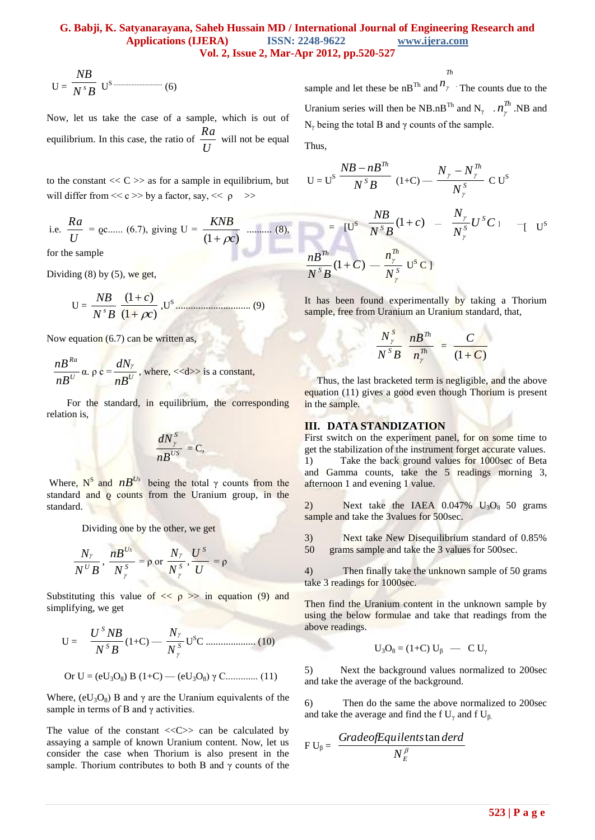$$
U = \frac{NB}{N^{s}B} U^{s \dots} \tag{6}
$$

Now, let us take the case of a sample, which is out of equilibrium. In this case, the ratio of *U*  $\frac{Ra}{\sqrt{ma}}$  will not be equal

to the constant  $<<$  C  $>>$  as for a sample in equilibrium, but will differ from  $<< c >>$  by a factor, say,  $<< \rho >>$ 

i.e. 
$$
\frac{Ra}{U} = \text{Qc...... } (6.7)
$$
, giving  $U = \frac{KNB}{(1 + \rho c)}$  ......... (8),

for the sample

Dividing (8) by (5), we get,

$$
U = \frac{NB}{N^{s}B} \frac{(1+c)}{(1+\rho c)}, U^{s} \dots (9)
$$

Now equation (6.7) can be written as,

$$
\frac{nB^{Ra}}{nB^{U}} \alpha. \rho c = \frac{dN_{\gamma}}{nB^{U}}, \text{ where, } <> \text{ is a constant,}
$$

 For the standard, in equilibrium, the corresponding relation is,

$$
\frac{dN_{\gamma}^{S}}{nB^{US}}=C,
$$

Where,  $N^S$  and  $nB^{Us}$  being the total  $\gamma$  counts from the standard and o counts from the Uranium group, in the standard.

Dividing one by the other, we get

$$
\frac{N_{\gamma}}{N^{U}B}, \frac{nB^{Us}}{N_{\gamma}^{S}} = \rho \text{ or } \frac{N_{\gamma}}{N_{\gamma}^{S}}, \frac{U^{S}}{U} = \rho
$$

Substituting this value of  $\langle \phi \rangle$  >> in equation (9) and simplifying, we get

$$
U = \frac{U^S N B}{N^S B} (1+C) - \frac{N_{\gamma}}{N_{\gamma}^S} U^S C \dots (10)
$$
  
Or  $U = (eU_3 O_8) B (1+C) - (eU_3 O_8) \gamma C \dots (11)$ 

Where,  $(eU_3O_8)$  B and  $\gamma$  are the Uranium equivalents of the sample in terms of B and  $\gamma$  activities.

The value of the constant  $\langle \langle C \rangle \rangle$  can be calculated by assaying a sample of known Uranium content. Now, let us consider the case when Thorium is also present in the sample. Thorium contributes to both B and  $\gamma$  counts of the

sample and let these be  $nB^{Th}$  and  $n_\gamma$  . The counts due to the Uranium series will then be NB.nB<sup>Th</sup> and N<sub>γ</sub> .  $n_{\gamma}^{Th}$ .NB and N<sup>γ</sup> being the total B and γ counts of the sample.

*Th*

Thus,

$$
U = US \frac{NB - nBTh}{NSB} (1+C) - \frac{N_{\gamma} - N_{\gamma}^{Th}}{N_{\gamma}^{S}} CUS
$$
  
= 
$$
[US \frac{NB}{NSB} (1+C) - \frac{N_{\gamma}}{N_{\gamma}^{S}} USC] - [US
$$
  

$$
\frac{nBTh}{NSB} (1+C) - \frac{n_{\gamma}^{Th}}{N_{\gamma}^{S}} US C]
$$

It has been found experimentally by taking a Thorium sample, free from Uranium an Uranium standard, that,

$$
\frac{N_{\gamma}^{S}}{N_{\gamma}^{S}B} \frac{nB^{Th}}{n_{\gamma}^{Th}} = \frac{C}{(1+C)}
$$

 Thus, the last bracketed term is negligible, and the above equation (11) gives a good even though Thorium is present in the sample.

#### **III. DATA STANDIZATION**

First switch on the experiment panel, for on some time to get the stabilization of the instrument forget accurate values. 1) Take the back ground values for 1000sec of Beta and Gamma counts, take the 5 readings morning 3, afternoon 1 and evening 1 value.

2) Next take the IAEA  $0.047\%$  U<sub>3</sub>O<sub>8</sub> 50 grams sample and take the 3values for 500sec.

3) Next take New Disequilibrium standard of 0.85% 50 grams sample and take the 3 values for 500sec.

4) Then finally take the unknown sample of 50 grams take 3 readings for 1000sec.

Then find the Uranium content in the unknown sample by using the below formulae and take that readings from the above readings.

$$
U_3O_8 = (1+C) U_\beta \quad - \quad C U_\gamma
$$

5) Next the background values normalized to 200sec and take the average of the background.

6) Then do the same the above normalized to 200sec and take the average and find the f  $U_{\gamma}$  and f  $U_{\beta}$ .

$$
F U_{\beta} = \frac{Grade of Equilents \tan derd}{N_{E}^{\beta}}
$$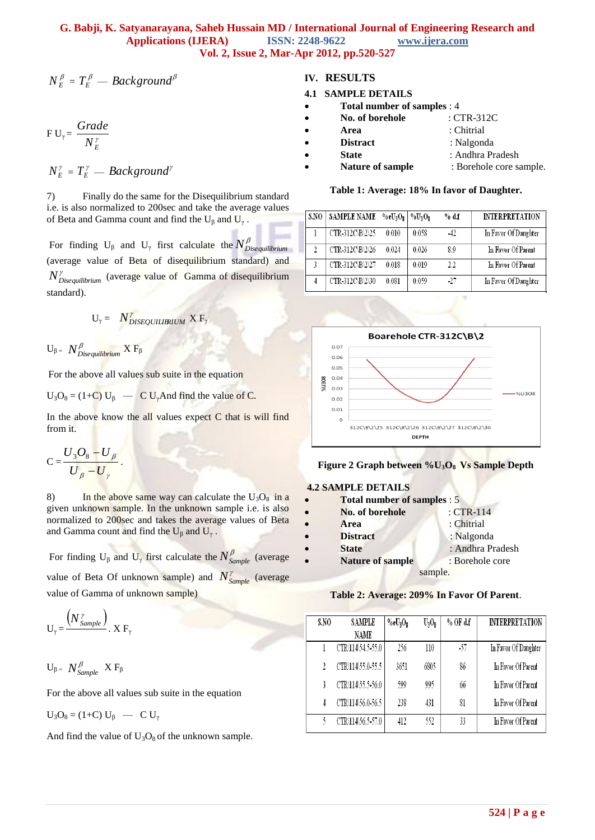$$
N_{E}^{\beta}=T_{E}^{\beta}-Background^{\beta}
$$

$$
F U_{\gamma} = \frac{Grade}{N_E^{\gamma}}
$$

$$
N_E^{\gamma} = T_E^{\gamma} - Background^{\gamma}
$$

7) Finally do the same for the Disequilibrium standard i.e. is also normalized to 200sec and take the average values of Beta and Gamma count and find the  $U_{\beta}$  and  $U_{\gamma}$ .

For finding  $U_{\beta}$  and  $U_{\gamma}$  first calculate the  $N_{Discquilibrium}^{\beta}$ (average value of Beta of disequilibrium standard) and *NDisequilibrium* (average value of Gamma of disequilibrium standard).

$$
U_{\gamma} = N_{DISEQUIURIUM}^{\gamma} X F_{\gamma}
$$

 $U_{β}$  =  $N^β_{Diequilibrium}$   $XF_{β}$ 

For the above all values sub suite in the equation

 $U_3O_8 = (1+C) U_\beta$  — C  $U_\gamma$  And find the value of C.

In the above know the all values expect  $C$  that is will find from it.

$$
C = \frac{U_3 O_8 - U_\beta}{U_\beta - U_\gamma}.
$$

8) In the above same way can calculate the  $U_3O_8$  in a given unknown sample. In the unknown sample i.e. is also normalized to 200sec and takes the average values of Beta and Gamma count and find the  $U_{\beta}$  and  $U_{\gamma}$ .

For finding  $U_{\beta}$  and  $U_{\gamma}$  first calculate the  $N^{\beta}_{Sample}$  (average value of Beta Of unknown sample) and  $N^{\gamma}_{Sample}$  (average value of Gamma of unknown sample)

$$
U_{\gamma} = \frac{\left(N^{\gamma}_{Sample}\right)}{N}
$$
. X F<sub>\gamma</sub>

$$
U_{\beta} = N^{\beta}_{\text{Sample}} \ X \ F_{\beta}
$$

For the above all values sub suite in the equation

$$
U_3O_8 = (1+C) U_\beta \quad - \quad C U_\gamma
$$

And find the value of  $U_3O_8$  of the unknown sample.

### **IV. RESULTS**

#### **4.1 SAMPLE DETAILS**

- **Total number of samples** : 4
- **No. of borehole** : CTR-312C
- **Area** : Chitrial
- **Distract** : Nalgonda
- **State** : Andhra Pradesh
- Nature of sample : Borehole core sample.

#### **Table 1: Average: 18% In favor of Daughter.**

| S.NO                    | <b>SAMPLE NAME</b> | $%$ e $U_3O_2$ | $\%$ U <sub>2</sub> O <sub>2</sub> | % df    | <b>INTERPRETATION</b> |
|-------------------------|--------------------|----------------|------------------------------------|---------|-----------------------|
|                         | CTR 312C\B\2\25    | 0.010          | 0.058                              | -42     | In Favor Of Daughter  |
| $\overline{\mathbf{c}}$ | CTR-312C\B\2\26    | 0.024          | 0.026                              | 8.9     | In Favor Of Parent    |
| 3                       | CTR 312C\B\2\27    | 0.018          | 0.019                              | $2.2\,$ | In Favor Of Parent    |
|                         | CTR-312C\B\2\30    | 0.081          | 0.059                              | -27     | In Favor Of Daughter  |





#### **4.2 SAMPLE DETAILS**

| $\bullet$ | <b>Total number of samples : 5</b> |                  |
|-----------|------------------------------------|------------------|
| $\bullet$ | No. of borehole                    | $: CTR-114$      |
| $\bullet$ | Area                               | : Chitrial       |
| $\bullet$ | <b>Distract</b>                    | : Nalgonda       |
| $\bullet$ | <b>State</b>                       | : Andhra Pradesh |
| $\bullet$ | <b>Nature of sample</b>            | : Borehole core  |
|           |                                    | sample.          |

### **Table 2: Average: 209% In Favor Of Parent**.

| S.NO | SAMPLE<br>NAME    | $%$ e $U_3O_8$ | $U_3O_8$ | $%$ OF d.f | <b>INTERPRETATION</b> |
|------|-------------------|----------------|----------|------------|-----------------------|
|      | CTR\114\54.5-55.0 | 256            | 110      | $-57$      | In Favor Of Daughter  |
|      | CTR\114\55.0-55.5 | 3651           | 6805     | 86         | In Favor Of Parent    |
|      | CTR\114\55.5-56.0 | 599            | 995      | 66         | In Favor Of Parent    |
| 4    | CTR\114\56.0-56.5 | 238            | 431      | 81         | In Favor Of Parent    |
|      | CTR\114\56.5-57.0 | 412            | 552      | 33         | In Favor Of Parent    |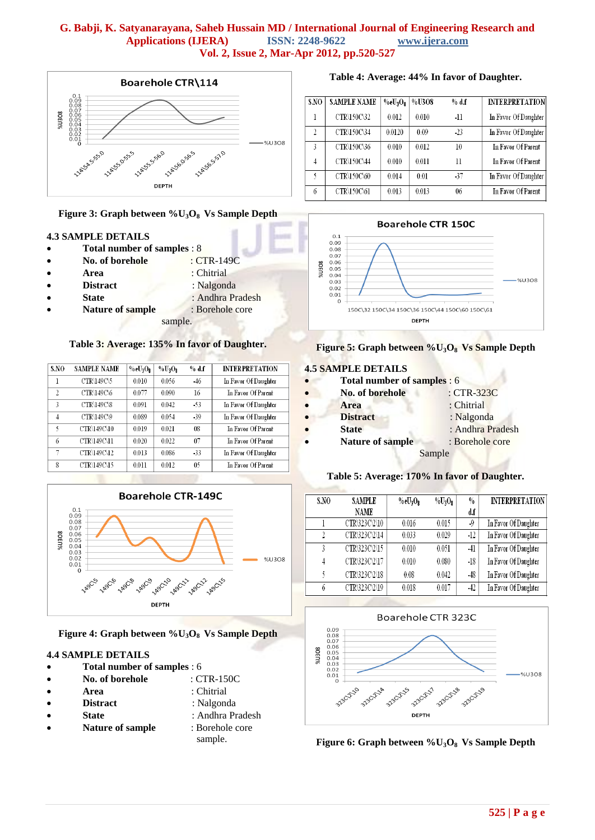

#### **Figure 3: Graph between %U3O8 Vs Sample Depth**

#### **4.3 SAMPLE DETAILS**

- **Total number of samples** : 8
- **No. of borehole** : CTR-149C
- **Area** : Chitrial
- **Distract** : Nalgonda
- **State** : Andhra Pradesh
- **Nature of sample** : Borehole core
	- sample.

#### **Table 3: Average: 135% In favor of Daughter.**

| S.NO           | <b>SAMPLE NAME</b> | %eU <sub>3</sub> O <sub>8</sub> | $%U_2O_2$ | % df  | <b>INTERPRETATION</b> |
|----------------|--------------------|---------------------------------|-----------|-------|-----------------------|
| 1              | CTR\149C\5         | 0.010                           | 0.056     | $-46$ | In Favor Of Daughter  |
| $\overline{2}$ | CTR\149C\6         | 0.077                           | 0.090     | 16    | In Favor Of Parent    |
| 3              | CTR\149C\8         | 0.091                           | 0.042     | -53   | In Favor Of Daughter  |
| 4              | CTR\149C\9         | 0.089                           | 0.054     | $-39$ | In Favor Of Daughter  |
| ٢              | CTR\149C\10        | 0.019                           | 0.021     | 08    | In Favor Of Parent    |
| 6              | CTR\149C\11        | 0.020                           | 0.022     | 07    | In Favor Of Parent    |
| 7              | CTR\149C\12        | 0.013                           | 0.086     | $-33$ | In Favor Of Daughter  |
| 8              | CTR\149C\15        | 0.011                           | 0.012     | 05    | In Favor Of Parent    |



**Figure 4: Graph between %U3O8 Vs Sample Depth**

sample.

#### **4.4 SAMPLE DETAILS**

- **Total number of samples** : 6
- **No. of borehole** : CTR-150C
- **Area** : Chitrial
- **Distract** : Nalgonda
- **State** : Andhra Pradesh
- **Nature of sample** : Borehole core

**Table 4: Average: 44% In favor of Daughter.**

| S.NO           | <b>SAMPLE NAME</b> | $%$ e $U_3O_9$ | %U3O8 | % df  | <b>INTERPRETATION</b> |
|----------------|--------------------|----------------|-------|-------|-----------------------|
| 1              | CTR\150C\32        | 0.012          | 0.010 | $-11$ | In Favor Of Daughter  |
| $\overline{2}$ | CTR\150C\34        | 0.0120         | 0.09  | $-23$ | In Favor Of Daughter  |
| 3              | CTR\150C\36        | 0.010          | 0.012 | 10    | In Favor Of Parent    |
| 4              | CTR\150C\44        | 0.010          | 0.011 | 11    | In Favor Of Parent    |
| 5              | CTR\150C\60        | 0.014          | 0.01  | -37   | In Favor Of Daughter  |
| 6              | CTR\150C\61        | 0.013          | 0.013 | 06    | In Favor Of Parent    |



# **Figure 5: Graph between %U3O8 Vs Sample Depth**

### **4.5 SAMPLE DETAILS**

- **Total number of samples** : 6
- **No. of borehole** : CTR-323C
	- **Area** : Chitrial
	- **Distract** : Nalgonda
- **State** : Andhra Pradesh
- **•** Nature of sample : Borehole core Sample

#### **Table 5: Average: 170% In favor of Daughter.**

| S.NO | <b>SAMPLE</b> | $%$ e $U_3O_2$ | $\%$ U <sub>3</sub> O <sub>2</sub> | $\frac{0}{0}$ | <b>INTERPRETATION</b> |
|------|---------------|----------------|------------------------------------|---------------|-----------------------|
|      | <b>NAME</b>   |                |                                    | d.f           |                       |
|      | CTR\323C\2\10 | 0.016          | 0.015                              | -9            | In Favor Of Daughter  |
| 2    | CTR\323C\2\14 | 0.033          | 0.029                              | $-12$         | In Favor Of Daughter  |
| 3    | CTR\323C\2\15 | 0.010          | 0.051                              | $-41$         | In Favor Of Daughter  |
| 4    | CTR\323C\2\17 | 0.010          | 0.080                              | $-18$         | In Favor Of Daughter  |
| ٢    | CTR\323C\2\18 | 0.08           | 0.042                              | $-48$         | In Favor Of Daughter  |
| 6    | CTR\323C\2\19 | 0.018          | 0.017                              | $-42$         | In Favor Of Daughter  |



**Figure 6: Graph between %U3O8 Vs Sample Depth**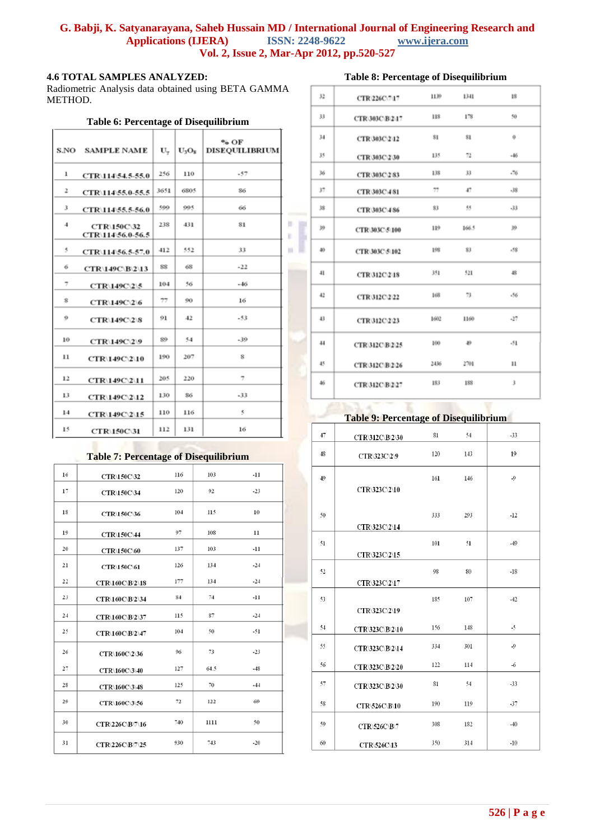×.

### **4.6 TOTAL SAMPLES ANALYZED:**

Radiometric Analysis data obtained using BETA GAMMA METHOD.

#### **Table 6: Percentage of Disequilibrium**

|    | <b>S.NO SAMPLE NAME</b>                 | U.   | $U_3O_8$ | % OF<br><b>DISEQUILIBRIUM</b> |
|----|-----------------------------------------|------|----------|-------------------------------|
| ı  | CTR\114\54.5-55.0                       | 256  | 110      | .57                           |
| 2  | CTR\114\55.0-55.5                       | 3651 | 6805     | 86                            |
| 3  | CTR\114\55.5-56.0                       | 500  | 90 Q     | 66                            |
| 4  | <b>CTR\150C\32</b><br>CTR\114\56.0-56.5 | 238  | 431      | 81                            |
| 5  | CTR\114\56.5-57.0                       | 412  | 552      | 33                            |
| 6  | CTR\149C\B\2\13                         | 88   | 68       | $-22$                         |
| 7  | CTR\149C\2\5                            | 104  | 56       | $-46$                         |
| s  | CTR\149C\2\6                            | 77   | 90       | 16                            |
| 9  | CTR\149C\2\8                            | 91   | 42       | $-53$                         |
| 10 | CTR\149C\2\9                            | 89   | 54       | $-39$                         |
| 11 | CTR\149C\2\10                           | 190  | 207      | s                             |
| 12 | CTR\149C\2\11                           | 205  | 220      | 7                             |
| 13 | <b>CTR\149C\2\12</b>                    | 130  | 86       | $-33$                         |
| 14 | CTR\149C\2\15                           | 110  | 116      | ۹                             |
| 15 | <b>CTR\150C\31</b>                      | 112  | 131      | 16                            |

#### **Table 7: Percentage of Disequilibrium**

| 16 | CTR\150C\32        | 116 | 103  | $-11$ |
|----|--------------------|-----|------|-------|
| 17 | <b>CTR\150C\34</b> | 120 | 92   | $-23$ |
| 18 | CTR\150C\36        | 104 | 115  | 10    |
| 19 | <b>CTR\150C\44</b> | 97  | 108  | 11    |
| 20 | <b>CTR\150C\60</b> | 137 | 103  | $-11$ |
| 21 | <b>CTR\150C\61</b> | 126 | 134  | $-24$ |
| 22 | CTR\160C\B\2\18    | 177 | 134  | $-24$ |
| 23 | CTR\160C\B\2\34    | 84  | 74   | $-11$ |
| 24 | CTR\160C\B\2\37    | 115 | 87   | $-24$ |
| 25 | CTR\160C\B\2\47    | 104 | 50   | $-51$ |
| 26 | CTR\160C\2\36      | 96  | 73   | $-23$ |
| 27 | CTR\160C\3\40      | 127 | 64.5 | $-48$ |
| 28 | CTR\160C\3\48      | 125 | 70   | $-44$ |
| 29 | CTR\160C\3\56      | 72  | 122  | 69    |
| 30 | CTR\226C\B\7\16    | 740 | 1111 | 50    |
| 31 | CTR\226C\B\7\25    | 930 | 743  | $-20$ |

# **Table 8: Percentage of Disequilibrium**

| 32              | CTR/226C/747        | 1139 | 1341   | 18    |
|-----------------|---------------------|------|--------|-------|
| 33              | CTR 303C B 2 17     | 118  | 178    | 50    |
| 34              | CTR303C242          | 81   | 81     | o     |
| 35              | CTR 303C 2 30       | 135  | 72     | $-46$ |
| 36              | CTR 303C 2.83       | 138  | 33     | $-76$ |
| 37              | <b>CTR 303C 481</b> | 77   | 47.    | $-38$ |
| 38              | CTR 303C 486        | 83   | 95     | $-33$ |
| 39              | CTR 303C 5 100      | 119  | 166.5  | 39    |
| 40 <sub>1</sub> | CTR 303C 5 102      | 108  | 81     | $-58$ |
| 41              | <b>CTR312C248</b>   | 351  | 521    | 48    |
| 42              | CTR 312C 2.22       | 168  | 73     | $-56$ |
| 43              | CTR 312C 2:23       | 1602 | 1160   | $-27$ |
| 44              | CTR312C-B225        | 100  | $40 -$ | $-51$ |
| 45              | CTR312CB226         | 2436 | 2701   | п     |
| 46              | <b>CTR312C-B227</b> | 183  | 188    | 3     |

### **Table 9: Percentage of Disequilibrium**

| 47 | <b>CTR\312C\B\2\30</b> | 81  | 54  | $-33$     |
|----|------------------------|-----|-----|-----------|
| 48 | CTR\323C\2\9           | 120 | 143 | 19        |
| 49 | CTR\323C\2\10          | 161 | 146 | $\cdot$ 9 |
| 50 | CTR\323C\2\14          | 333 | 293 | $-12$     |
| 51 | CTR\323C\2\15          | 101 | 51  | $-49$     |
| 52 | CTR\323C\2\17          | 98  | 80  | $-18$     |
| 53 | CTR\323C\2\19          | 185 | 107 | $-42$     |
| 54 | CTR\323C\B\2\10        | 156 | 148 | $-5$      |
| 55 | CTR\323C\B\2\14        | 334 | 301 | $\cdot$ 9 |
| 56 | CTR\323C\B\2\20        | 122 | 114 | $-6$      |
| 57 | CTR\323C\B\2\30        | 81  | 54  | $-33$     |
| 58 | CTR\526C\B\10          | 190 | 119 | $-37$     |
| 59 | CTR\526C\B\7           | 308 | 182 | $-40$     |
| 60 | CTR\526C\13            | 350 | 314 | $-10$     |